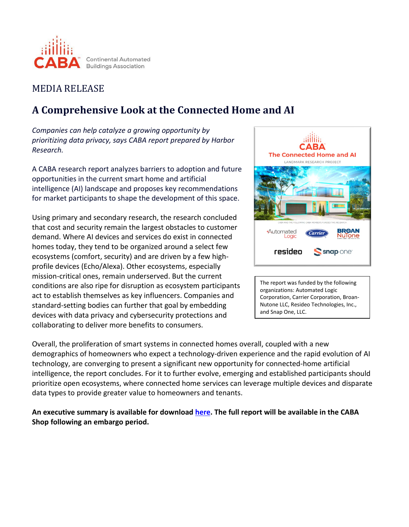

## MEDIA RELEASE

# **A Comprehensive Look at the Connected Home and AI**

*Companies can help catalyze a growing opportunity by prioritizing data privacy, says CABA report prepared by Harbor Research.*

A CABA research report analyzes barriers to adoption and future opportunities in the current smart home and artificial intelligence (AI) landscape and proposes key recommendations for market participants to shape the development of this space.

Using primary and secondary research, the research concluded that cost and security remain the largest obstacles to customer demand. Where AI devices and services do exist in connected homes today, they tend to be organized around a select few ecosystems (comfort, security) and are driven by a few highprofile devices (Echo/Alexa). Other ecosystems, especially mission-critical ones, remain underserved. But the current conditions are also ripe for disruption as ecosystem participants act to establish themselves as key influencers. Companies and standard-setting bodies can further that goal by embedding devices with data privacy and cybersecurity protections and collaborating to deliver more benefits to consumers.



The report was funded by the following organizations: Automated Logic Corporation, Carrier Corporation, Broan-Nutone LLC, Resideo Technologies, Inc., and Snap One, LLC.

Overall, the proliferation of smart systems in connected homes overall, coupled with a new demographics of homeowners who expect a technology-driven experience and the rapid evolution of AI technology, are converging to present a significant new opportunity for connected-home artificial intelligence, the report concludes. For it to further evolve, emerging and established participants should prioritize open ecosystems, where connected home services can leverage multiple devices and disparate data types to provide greater value to homeowners and tenants.

**An executive summary is available for download [here.](https://www.caba.org/the-connected-home-and-ai-executive-summary-form-4658732/) The full report will be available in the CABA Shop following an embargo period.**